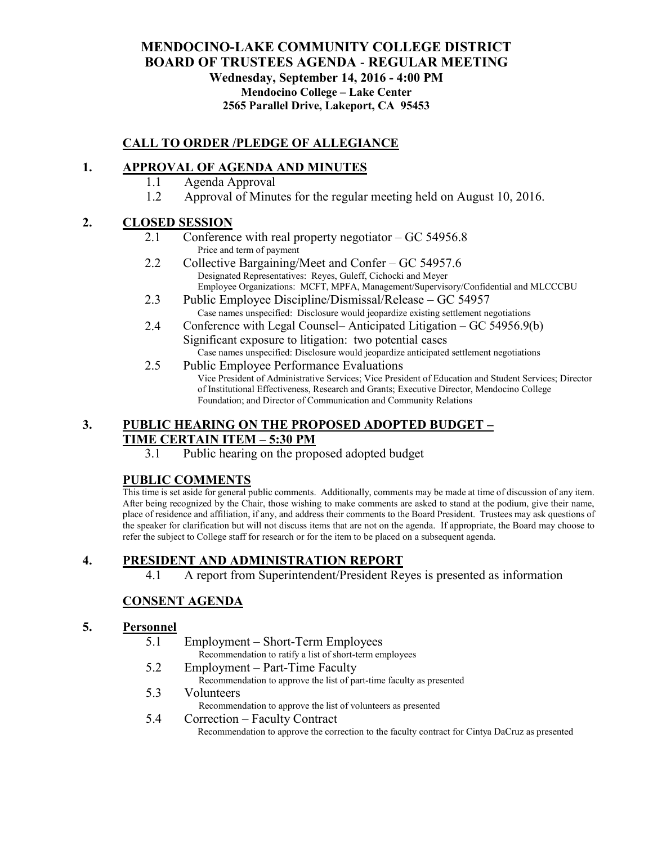# **MENDOCINO-LAKE COMMUNITY COLLEGE DISTRICT BOARD OF TRUSTEES AGENDA** - **REGULAR MEETING Wednesday, September 14, 2016 - 4:00 PM Mendocino College – Lake Center 2565 Parallel Drive, Lakeport, CA 95453**

# **CALL TO ORDER /PLEDGE OF ALLEGIANCE**

### **1. APPROVAL OF AGENDA AND MINUTES**

- 1.1 Agenda Approval
- 1.2 Approval of Minutes for the regular meeting held on August 10, 2016.

#### **2. CLOSED SESSION**

- 2.1 Conference with real property negotiator GC 54956.8 Price and term of payment
- 2.2 Collective Bargaining/Meet and Confer GC 54957.6 Designated Representatives: Reyes, Guleff, Cichocki and Meyer Employee Organizations: MCFT, MPFA, Management/Supervisory/Confidential and MLCCCBU
- 2.3 Public Employee Discipline/Dismissal/Release GC 54957 Case names unspecified: Disclosure would jeopardize existing settlement negotiations
- 2.4 Conference with Legal Counsel– Anticipated Litigation GC 54956.9(b) Significant exposure to litigation: two potential cases Case names unspecified: Disclosure would jeopardize anticipated settlement negotiations
- 2.5 Public Employee Performance Evaluations Vice President of Administrative Services; Vice President of Education and Student Services; Director of Institutional Effectiveness, Research and Grants; Executive Director, Mendocino College Foundation; and Director of Communication and Community Relations

#### **3. PUBLIC HEARING ON THE PROPOSED ADOPTED BUDGET – TIME CERTAIN ITEM – 5:30 PM**

3.1 Public hearing on the proposed adopted budget

#### **PUBLIC COMMENTS**

This time is set aside for general public comments. Additionally, comments may be made at time of discussion of any item. After being recognized by the Chair, those wishing to make comments are asked to stand at the podium, give their name, place of residence and affiliation, if any, and address their comments to the Board President. Trustees may ask questions of the speaker for clarification but will not discuss items that are not on the agenda. If appropriate, the Board may choose to refer the subject to College staff for research or for the item to be placed on a subsequent agenda.

# **4. PRESIDENT AND ADMINISTRATION REPORT**

4.1 A report from Superintendent/President Reyes is presented as information

# **CONSENT AGENDA**

#### **5. Personnel**

- 5.1 Employment Short-Term Employees
	- Recommendation to ratify a list of short-term employees
- 5.2 Employment Part-Time Faculty Recommendation to approve the list of part-time faculty as presented
- 5.3 Volunteers
	- Recommendation to approve the list of volunteers as presented

#### 5.4 Correction – Faculty Contract

Recommendation to approve the correction to the faculty contract for Cintya DaCruz as presented